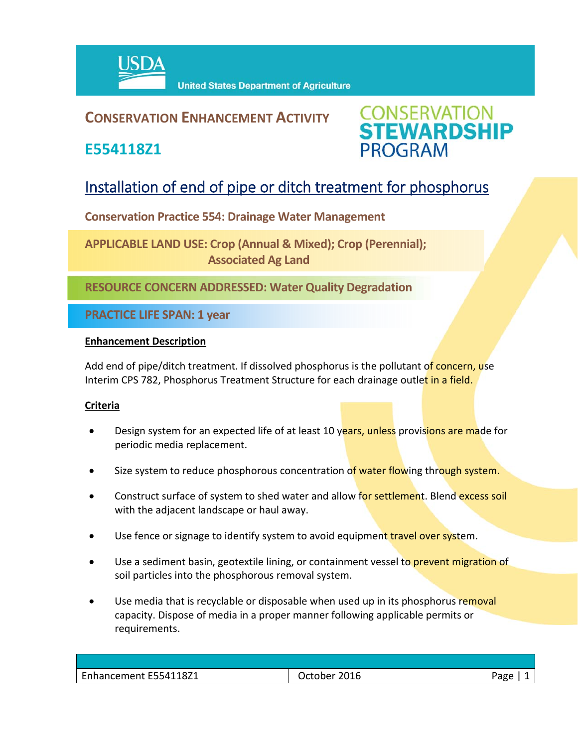

## **CONSERVATION ENHANCEMENT ACTIVITY**

**E554118Z1**



# Installation of end of pipe or ditch treatment for phosphorus

**Conservation Practice 554: Drainage Water Management** 

**APPLICABLE LAND USE: Crop (Annual & Mixed); Crop (Perennial); Associated Ag Land**

**RESOURCE CONCERN ADDRESSED: Water Quality Degradation**

**PRACTICE LIFE SPAN: 1 year**

### **Enhancement Description**

Add end of pipe/ditch treatment. If dissolved phosphorus is the pollutant of concern, use Interim CPS 782, Phosphorus Treatment Structure for each drainage outlet in a field.

### **Criteria**

- Design system for an expected life of at least 10 years, unless provisions are made for periodic media replacement.
- Size system to reduce phosphorous concentration of water flowing through system.
- Construct surface of system to shed water and allow for settlement. Blend excess soil with the adjacent landscape or haul away.
- Use fence or signage to identify system to avoid equipment travel over system.
- Use a sediment basin, geotextile lining, or containment vessel to prevent migration of soil particles into the phosphorous removal system.
- Use media that is recyclable or disposable when used up in its phosphorus removal capacity. Dispose of media in a proper manner following applicable permits or requirements.

| $\sim$<br>E554118Z1<br>.<br>ENI<br>nancement E554 | — 10∟–<br>uuune | ≙סבי |
|---------------------------------------------------|-----------------|------|
|                                                   |                 |      |